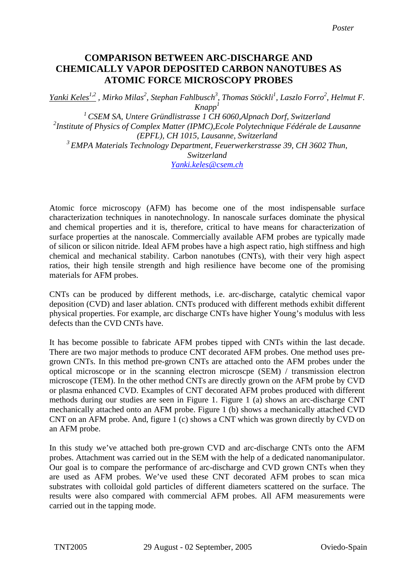## **CHEMICALLY VAPOR DEPOSITED CARBON NANOTUBES AS ATOMIC FORCE MICROSCOPY PROBES COMPARISON BETWEEN ARC-DISCHARGE AND**

*Yanki Keles1,2 , Mirko Milas2 , Stephan Fahlbusch3 , Thomas Stöckli1 , Laszlo Forro<sup>2</sup> , Helmut F. Knapp1 1 CSEM SA, Untere Gründlistrasse 1 CH 6060,Alpnach Dorf, Switzerland 2 Institute of Physics of Complex Matter (IPMC),Ecole Polytechnique Fédérale de Lausanne (EPFL), CH 1015, Lausanne, Switzerland 3 EMPA Materials Technology Department, Feuerwerkerstrasse 39, CH 3602 Thun, Switzerland Yanki.keles@csem.ch* 

Atomic force microscopy (AFM) has become one of the most indispensable surface characterization techniques in nanotechnology. In nanoscale surfaces dominate the physical and chemical properties and it is, therefore, critical to have means for characterization of surface properties at the nanoscale. Commercially available AFM probes are typically made of silicon or silicon nitride. Ideal AFM probes have a high aspect ratio, high stiffness and high chemical and mechanical stability. Carbon nanotubes (CNTs), with their very high aspect ratios, their high tensile strength and high resilience have become one of the promising materials for AFM probes.

CNTs can be produced by different methods, i.e. arc-discharge, catalytic chemical vapor deposition (CVD) and laser ablation. CNTs produced with different methods exhibit different physical properties. For example, arc discharge CNTs have higher Young's modulus with less defects than the CVD CNTs have.

It has become possible to fabricate AFM probes tipped with CNTs within the last decade. There are two major methods to produce CNT decorated AFM probes. One method uses pregrown CNTs. In this method pre-grown CNTs are attached onto the AFM probes under the optical microscope or in the scanning electron microscpe (SEM) / transmission electron microscope (TEM). In the other method CNTs are directly grown on the AFM probe by CVD or plasma enhanced CVD. Examples of CNT decorated AFM probes produced with different methods during our studies are seen in Figure 1. Figure 1 (a) shows an arc-discharge CNT mechanically attached onto an AFM probe. Figure 1 (b) shows a mechanically attached CVD CNT on an AFM probe. And, figure 1 (c) shows a CNT which was grown directly by CVD on an AFM probe.

In this study we've attached both pre-grown CVD and arc-discharge CNTs onto the AFM probes. Attachment was carried out in the SEM with the help of a dedicated nanomanipulator. Our goal is to compare the performance of arc-discharge and CVD grown CNTs when they are used as AFM probes. We've used these CNT decorated AFM probes to scan mica substrates with colloidal gold particles of different diameters scattered on the surface. The results were also compared with commercial AFM probes. All AFM measurements were carried out in the tapping mode.